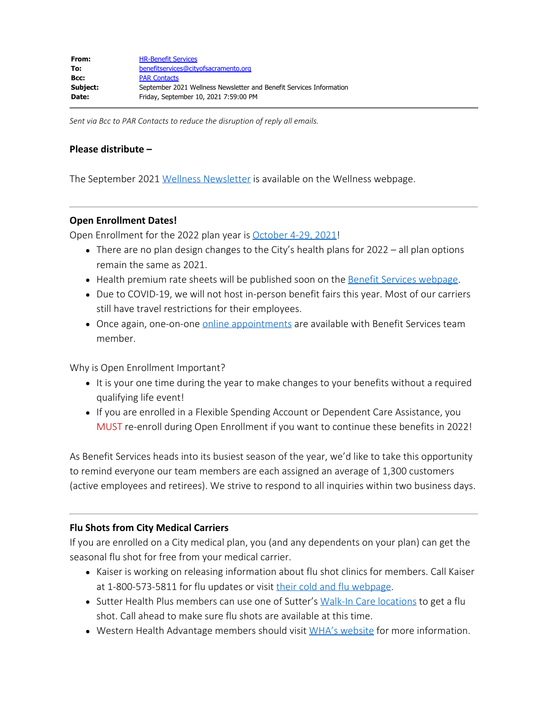*Sent via Bcc to PAR Contacts to reduce the disruption of reply all emails.*

### **Please distribute –**

The September 2021 [Wellness Newsletter](http://www.cityofsacramento.org/-/media/Corporate/Files/HR/Divisions/Benefits/Wellness-Program/2021/092021WellnessNewsletter.pdf?la=en) is available on the Wellness webpage.

#### **Open Enrollment Dates!**

Open Enrollment for the 2022 plan year is [October 4-29, 2021!](http://www.cityofsacramento.org/-/media/Corporate/Files/HR/Divisions/Benefits/2022-OE/2022_OE_Announcement_Employees.pdf?la=en)

- There are no plan design changes to the City's health plans for 2022 all plan options remain the same as 2021.
- Health premium rate sheets will be published soon on the [Benefit Services webpage](http://www.cityofsacramento.org/HR/Divisions/Benefits-Retirement).
- Due to COVID-19, we will not host in-person benefit fairs this year. Most of our carriers still have travel restrictions for their employees.
- Once again, one-on-one [online appointments](https://outlook.office365.com/owa/calendar/BenefitServicesHumanResources@saccity.onmicrosoft.com/bookings/) are available with Benefit Services team member.

Why is Open Enrollment Important?

- It is your one time during the year to make changes to your benefits without a required qualifying life event!
- If you are enrolled in a Flexible Spending Account or Dependent Care Assistance, you MUST re-enroll during Open Enrollment if you want to continue these benefits in 2022!

As Benefit Services heads into its busiest season of the year, we'd like to take this opportunity to remind everyone our team members are each assigned an average of 1,300 customers (active employees and retirees). We strive to respond to all inquiries within two business days.

## **Flu Shots from City Medical Carriers**

If you are enrolled on a City medical plan, you (and any dependents on your plan) can get the seasonal flu shot for free from your medical carrier.

- Kaiser is working on releasing information about flu shot clinics for members. Call Kaiser at 1-800-573-5811 for flu updates or visit [their cold and flu webpage](https://mydoctor.kaiserpermanente.org/ncal/coldflu/#/prevention).
- Sutter Health Plus members can use one of Sutter's [Walk-In Care locations](https://www.sutterhealth.org/location-search?location-type=Walk-In+Care&location-affiliate=) to get a flu shot. Call ahead to make sure flu shots are available at this time.
- Western Health Advantage members should visit [WHA's website](https://www.westernhealth.com/mywha/) for more information.